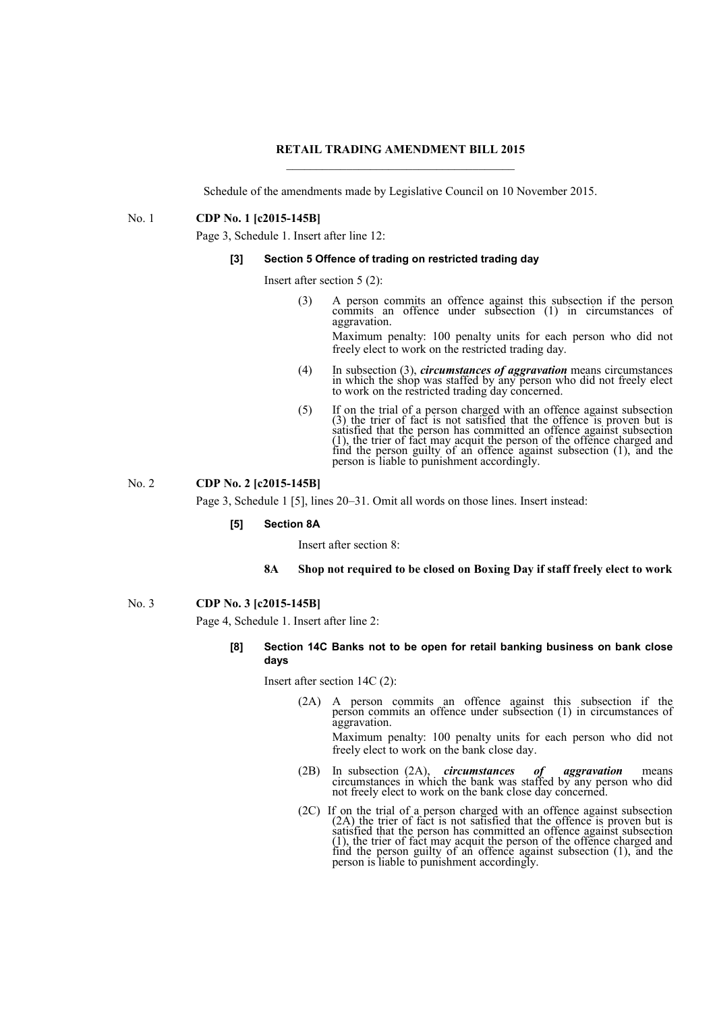## **RETAIL TRADING AMENDMENT BILL 2015**  $\mathcal{L}_\text{max}$  and  $\mathcal{L}_\text{max}$  and  $\mathcal{L}_\text{max}$  and  $\mathcal{L}_\text{max}$

Schedule of the amendments made by Legislative Council on 10 November 2015.

### No. 1 **CDP No. 1 [c2015-145B]**

Page 3, Schedule 1. Insert after line 12:

## **[3] Section 5 Offence of trading on restricted trading day**

Insert after section 5 (2):

(3) A person commits an offence against this subsection if the person commits an offence under subsection (1) in circumstances of aggravation.

Maximum penalty: 100 penalty units for each person who did not freely elect to work on the restricted trading day.

- (4) In subsection (3), *circumstances of aggravation* means circumstances in which the shop was staffed by any person who did not freely elect to work on the restricted trading day concerned.
- (5) If on the trial of a person charged with an offence against subsection (3) the trier of fact is not satisfied that the offence is proven but is satisfied that the person has committed an offence against subsection (1), the trier of fact may acquit the person of the offence charged and find the person guilty of an offence against subsection (1), and the person is liable to punishment accordingly.

## No. 2 **CDP No. 2 [c2015-145B]**

Page 3, Schedule 1 [5], lines 20–31. Omit all words on those lines. Insert instead:

## **[5] Section 8A**

Insert after section 8:

#### **8A Shop not required to be closed on Boxing Day if staff freely elect to work**

#### No. 3 **CDP No. 3 [c2015-145B]**

Page 4, Schedule 1. Insert after line 2:

**[8] Section 14C Banks not to be open for retail banking business on bank close days**

Insert after section 14C (2):

(2A) A person commits an offence against this subsection if the person commits an offence under subsection (1) in circumstances of aggravation.

Maximum penalty: 100 penalty units for each person who did not freely elect to work on the bank close day.

- (2B) In subsection (2A), *circumstances of aggravation* means circumstances in which the bank was staffed by any person who did not freely elect to work on the bank close day concerned.
- (2C) If on the trial of a person charged with an offence against subsection (2A) the trier of fact is not satisfied that the offence is proven but is satisfied that the person has committed an offence against subsection (1), the trier of fact may acquit the person of the offence charged and find the person guilty of an offence against subsection (1), and the person is liable to punishment accordingly.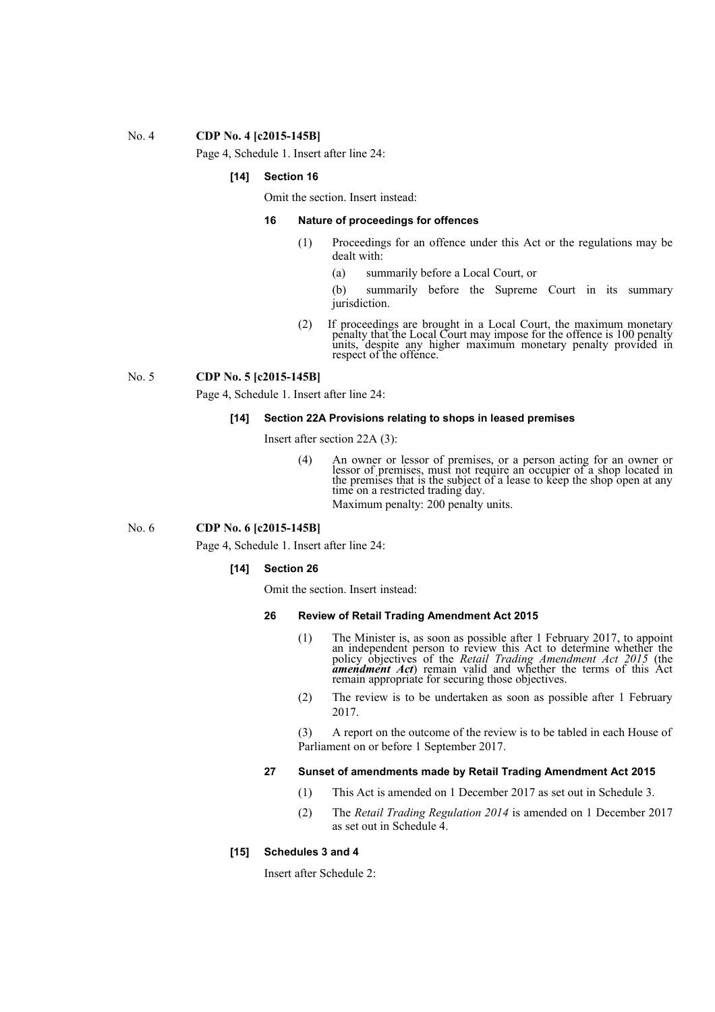#### No. 4 **CDP No. 4 [c2015-145B]**

Page 4, Schedule 1. Insert after line 24:

## **[14] Section 16**

Omit the section. Insert instead:

## **16 Nature of proceedings for offences**

- (1) Proceedings for an offence under this Act or the regulations may be dealt with:
	- (a) summarily before a Local Court, or

(b) summarily before the Supreme Court in its summary jurisdiction.

(2) If proceedings are brought in a Local Court, the maximum monetary penalty that the Local Court may impose for the offence is 100 penalty units, despite any higher maximum monetary penalty provided in respect of the offence.

## No. 5 **CDP No. 5 [c2015-145B]**

Page 4, Schedule 1. Insert after line 24:

## **[14] Section 22A Provisions relating to shops in leased premises**

Insert after section 22A (3):

(4) An owner or lessor of premises, or a person acting for an owner or lessor of premises, must not require an occupier of a shop located in the premises that is the subject of a lease to keep the shop open at any time on a restricted trading day.

Maximum penalty: 200 penalty units.

No. 6 **CDP No. 6 [c2015-145B]**

Page 4, Schedule 1. Insert after line 24:

#### **[14] Section 26**

Omit the section. Insert instead:

## **26 Review of Retail Trading Amendment Act 2015**

- (1) The Minister is, as soon as possible after 1 February 2017, to appoint an independent person to review this Act to determine whether the policy objectives of the *Retail Trading Amendment Act 2015* (the *amendment Act*) remain valid and whether the terms of this Act remain appropriate for securing those objectives.
- (2) The review is to be undertaken as soon as possible after 1 February 2017.

(3) A report on the outcome of the review is to be tabled in each House of Parliament on or before 1 September 2017.

#### **27 Sunset of amendments made by Retail Trading Amendment Act 2015**

- (1) This Act is amended on 1 December 2017 as set out in Schedule 3.
- (2) The *Retail Trading Regulation 2014* is amended on 1 December 2017 as set out in Schedule 4.

## **[15] Schedules 3 and 4**

Insert after Schedule 2: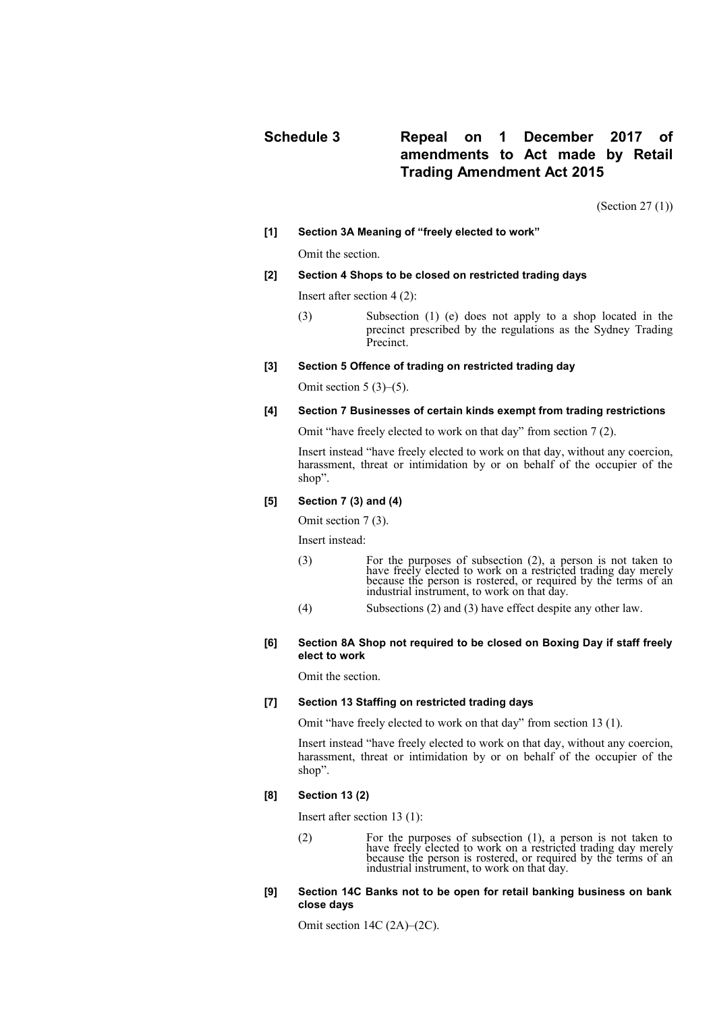# **Schedule 3 Repeal on 1 December 2017 of amendments to Act made by Retail Trading Amendment Act 2015**

(Section 27 (1))

#### **[1] Section 3A Meaning of "freely elected to work"**

Omit the section.

## **[2] Section 4 Shops to be closed on restricted trading days**

Insert after section 4 (2):

(3) Subsection (1) (e) does not apply to a shop located in the precinct prescribed by the regulations as the Sydney Trading Precinct.

#### **[3] Section 5 Offence of trading on restricted trading day**

Omit section  $5(3)$ – $(5)$ .

#### **[4] Section 7 Businesses of certain kinds exempt from trading restrictions**

Omit "have freely elected to work on that day" from section 7 (2).

Insert instead "have freely elected to work on that day, without any coercion, harassment, threat or intimidation by or on behalf of the occupier of the shop".

#### **[5] Section 7 (3) and (4)**

Omit section 7 (3).

Insert instead:

- (3) For the purposes of subsection (2), a person is not taken to have freely elected to work on a restricted trading day merely because the person is rostered, or required by the terms of an industrial instrument, to work on that day.
- (4) Subsections (2) and (3) have effect despite any other law.

## **[6] Section 8A Shop not required to be closed on Boxing Day if staff freely elect to work**

Omit the section.

## **[7] Section 13 Staffing on restricted trading days**

Omit "have freely elected to work on that day" from section 13 (1).

Insert instead "have freely elected to work on that day, without any coercion, harassment, threat or intimidation by or on behalf of the occupier of the shop".

## **[8] Section 13 (2)**

Insert after section 13 (1):

(2) For the purposes of subsection (1), a person is not taken to have freely elected to work on a restricted trading day merely because the person is rostered, or required by the terms of an industrial instrument, to work on that day.

## **[9] Section 14C Banks not to be open for retail banking business on bank close days**

Omit section 14C (2A)–(2C).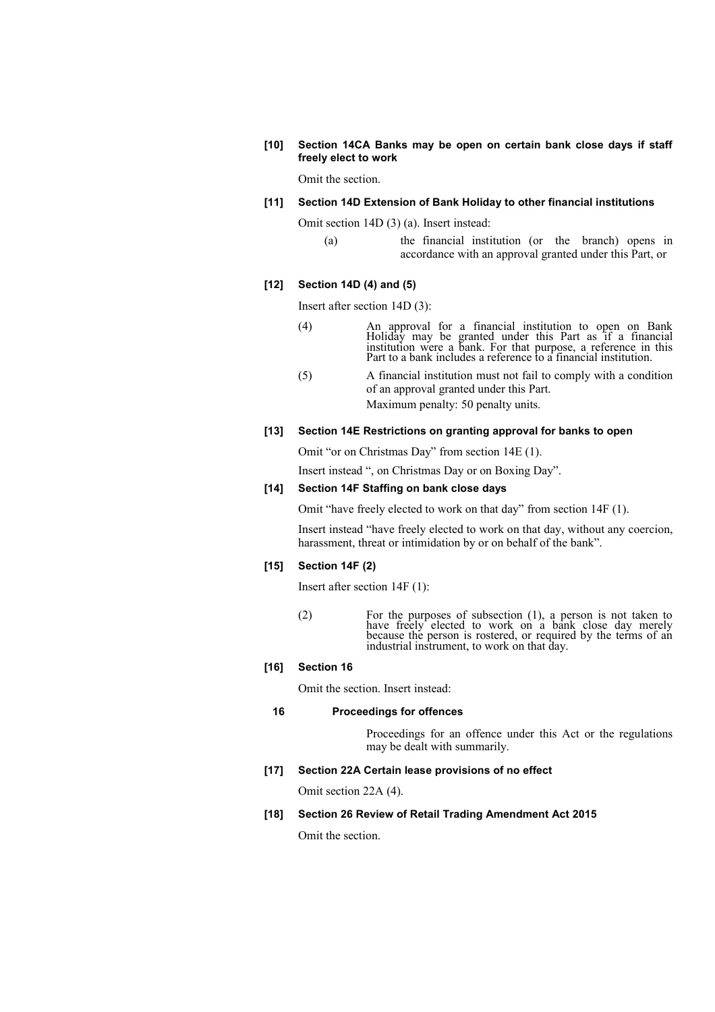## **[10] Section 14CA Banks may be open on certain bank close days if staff freely elect to work**

Omit the section.

## **[11] Section 14D Extension of Bank Holiday to other financial institutions**

Omit section 14D (3) (a). Insert instead:

(a) the financial institution (or the branch) opens in accordance with an approval granted under this Part, or

## **[12] Section 14D (4) and (5)**

Insert after section 14D (3):

- (4) An approval for a financial institution to open on Bank Holiday may be granted under this Part as if a financial institution were a bank. For that purpose, a reference in this Part to a bank includes a reference to a financial institution.
- (5) A financial institution must not fail to comply with a condition of an approval granted under this Part. Maximum penalty: 50 penalty units.

#### **[13] Section 14E Restrictions on granting approval for banks to open**

Omit "or on Christmas Day" from section 14E (1).

Insert instead ", on Christmas Day or on Boxing Day".

## **[14] Section 14F Staffing on bank close days**

Omit "have freely elected to work on that day" from section 14F (1).

Insert instead "have freely elected to work on that day, without any coercion, harassment, threat or intimidation by or on behalf of the bank".

#### **[15] Section 14F (2)**

Insert after section 14F (1):

(2) For the purposes of subsection (1), a person is not taken to have freely elected to work on a bank close day merely because the person is rostered, or required by the terms of an industrial instrument, to work on that day.

#### **[16] Section 16**

Omit the section. Insert instead:

#### **16 Proceedings for offences**

Proceedings for an offence under this Act or the regulations may be dealt with summarily.

#### **[17] Section 22A Certain lease provisions of no effect**

Omit section 22A (4).

#### **[18] Section 26 Review of Retail Trading Amendment Act 2015**

Omit the section.